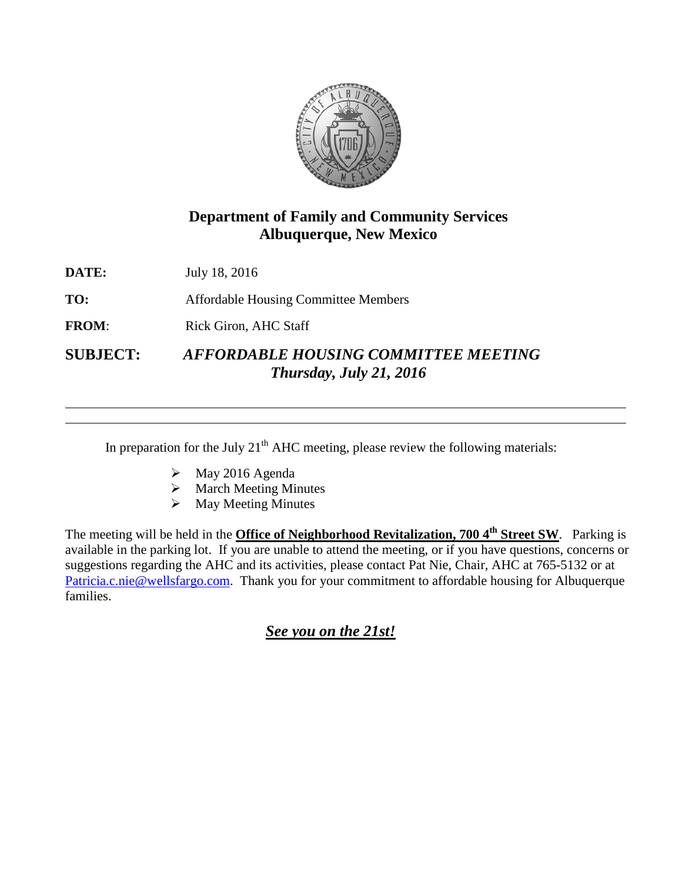

# **Department of Family and Community Services Albuquerque, New Mexico**

**DATE:** July 18, 2016

**TO:** Affordable Housing Committee Members

**FROM:** Rick Giron, AHC Staff

**SUBJECT:** *AFFORDABLE HOUSING COMMITTEE MEETING Thursday, July 21, 2016*

In preparation for the July  $21<sup>th</sup>$  AHC meeting, please review the following materials:

- $\blacktriangleright$  May 2016 Agenda
- $\triangleright$  March Meeting Minutes
- $\triangleright$  May Meeting Minutes

The meeting will be held in the **Office of Neighborhood Revitalization, 700 4<sup>th</sup> Street SW**. Parking is available in the parking lot. If you are unable to attend the meeting, or if you have questions, concerns or suggestions regarding the AHC and its activities, please contact Pat Nie, Chair, AHC at 765-5132 or at [Patricia.c.nie@wellsfargo.com.](mailto:Patricia.c.nie@wellsfargo.com) Thank you for your commitment to affordable housing for Albuquerque families.

# *See you on the 21st!*